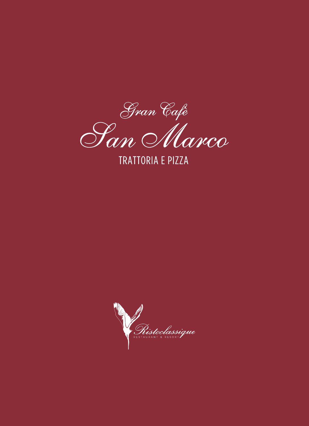

**TRATTORIA E PIZZA** 

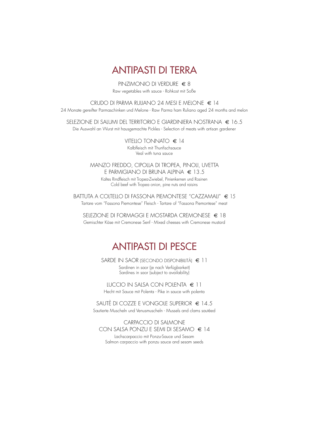

PINZIMONIO DI VERDURE € 8 Raw vegetables with sauce - Rohkost mit Soße

CRUDO DI PARMA RULIANO 24 MESI E MELONE € 14

24 Monate gereifter Parmaschinken und Melone - Raw Parma ham Ruliano aged 24 months and melon

SELEZIONE DI SALUMI DEL TERRITORIO E GIARDINIERA NOSTRANA € 16.5 Die Auswahl an Wurst mit hausgemachte Pickles - Selection of meats with artisan gardener

> VITELLO TONNATO € 14 Kalbfleisch mit Thunfischsauce Veal with tuna sauce

MANZO FREDDO, CIPOLLA DI TROPEA, PINOLI, UVETTA E PARMIGIANO DI BRUNA ALPINA € 13.5 Kaltes Rindfleisch mit Tropea-Zwiebel, Pinienkernen und Rosinen Cold beef with Tropea onion, pine nuts and raisins

BATTUTA A COLTELLO DI FASSONA PIEMONTESE "CAZZAMALI" € 15 Tartare vom "Fassona Piemontese" Fleisch - Tartare of "Fassona Piemontese" meat

SELEZIONE DI FORMAGGI E MOSTARDA CREMONESE € 18 Gemischter Käse mit Cremonese Senf - Mixed cheeses with Cremonese mustard

# ANTIPASTI DI PESCE

SARDE IN SAOR (SECONDO DISPONIBILITÀ) € 11 Sardinen in saor (je nach Verfügbarkeit) Sardines in saor (subject to availability)

LUCCIO IN SALSA CON POLENTA € 11 Hecht mit Sauce mit Polenta - Pike in sauce with polenta

SAUTÈ DI COZZE E VONGOLE SUPERIOR € 14.5 Sautierte Muscheln und Venusmuscheln - Mussels and clams sautéed

CARPACCIO DI SALMONE CON SALSA PONZU E SEMI DI SESAMO € 14 Lachscarpaccio mit Ponzu-Sauce und Sesam

Salmon carpaccio with ponzu sauce and sesam seeds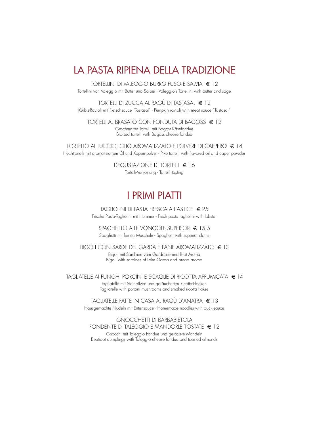# LA PASTA RIPIENA DELLA TRADIZIONE

TORTELLINI DI VALEGGIO BURRO FUSO E SALVIA € 12 Tortellini von Valeggio mit Butter und Salbei - Valeggio's Tortellini with butter and sage

TORTELLI DI ZUCCA AL RAGÙ DI TASTASAL € 12 Kürbis-Ravioli mit Fleischsauce "Tastasal" - Pumpkin ravioli with meat sauce "Tastasal"

TORTELLI AL BRASATO CON FONDUTA DI BAGOSS € 12

Geschmorter Tortelli mit Bagoss-Käsefondue Braised tortelli with Bagoss cheese fondue

TORTELLO AL LUCCIO, OLIO AROMATIZZATO E POLVERE DI CAPPERO € 14 Hechttortelli mit aromatisiertem Öl und Kapernpulver - Pike tortelli with flavored oil and caper powder

> DEGUSTAZIONE DI TORTELLI € 16 Tortelli-Verkostung - Tortelli tasting

# I PRIMI PIATTI

TAGLIOLINI DI PASTA FRESCA ALL'ASTICE € 25 Frische Pasta-Tagliolini mit Hummer - Fresh pasta tagliolini with lobster

SPAGHETTO ALLE VONGOLE SUPERIOR  $\in$  15.5 Spaghetti mit feinen Muscheln - Spaghetti with superior clams

BIGOLI CON SARDE DEL GARDA E PANE AROMATIZZATO € 13 Bigoli mit Sardinen vom Gardasee und Brot Aroma Bigoli with sardines of Lake Garda and bread aroma

TAGLIATELLE AI FUNGHI PORCINI E SCAGLIE DI RICOTTA AFFUMICATA € 14 tagliatelle mit Steinpilzen und geräucherten Ricotta-Flocken Tagliatelle with porcini mushrooms and smoked ricotta flakes

> TAGLIATELLE FATTE IN CASA AL RAGÙ D'ANATRA € 13 Hausgemachte Nudeln mit Entensauce - Homemade noodles with duck sauce

# GNOCCHETTI DI BARBABIETOLA FONDENTE DI TALEGGIO E MANDORLE TOSTATE  $\in$  12

Gnocchi mit Taleggio Fondue und geröstete Mandeln Beetroot dumplings with Taleggio cheese fondue and toasted almonds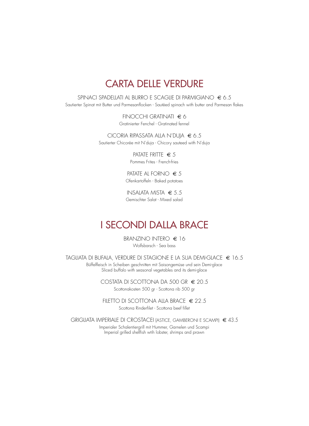# **CARTA DELLE VERDURE**

SPINACI SPADELLATI AL BURRO E SCAGLIE DI PARMIGIANO € 6.5 Sautierter Spinat mit Butter und Parmesanflocken - Sautéed spinach with butter and Parmesan flakes

> $FINOCCHI$  GRATINATI  $\in \delta$ Gratinierter Fenchel - Gratinated fennel

CICORIA RIPASSATA ALLA N'DUJA  $\epsilon$  6.5 Sautierter Chicorée mit N'duja - Chicory sauteed with N'duja

> PATATE FRITTE  $\epsilon$  5 Pommes Frites - French-fries

PATATE AL FORNO  $\in$  5 Ofenkartoffeln - Baked potatoes

INSALATA MISTA  $\in$  5.5 Gemischter Salat - Mixed salad

# **I SECONDI DALLA BRACE**

BRANZINO INTERO  $\in$  16 Wolfsbarsch - Sea bass

TAGLIATA DI BUFALA, VERDURE DI STAGIONE E LA SUA DEMI-GLACE € 16.5

Büffelfleisch in Scheiben geschnitten mit Saisongemüse und sein Demi-glace Sliced buffalo with seasonal vegetables and its demi-glace

> COSTATA DI SCOTTONA DA 500 GR € 20.5 Scottonakosten 500 gr - Scottona rib 500 gr

FILETTO DI SCOTTONA ALLA BRACE  $\in$  22.5 Scottona Rinderfilet - Scottona beef fillet

GRIGLIATA IMPERIALE DI CROSTACEI (ASTICE, GAMBERONI E SCAMPI)  $\in$  43.5 Imperialer Schalentiergrill mit Hummer, Garnelen und Scampi Imperial grilled shellfish wtih lobster, shrimps and prawn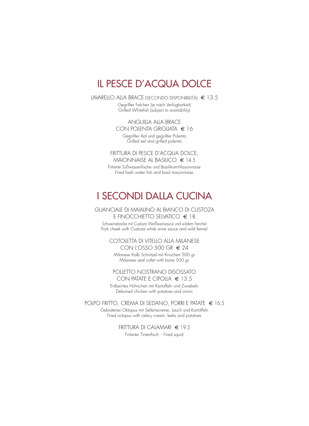# IL PESCE D'ACQUA DOLCE

LAVARELLO ALLA BRACE (SECONDO DISPONIBILITÀ) € 13.5 Gegrillter Felchen (je nach Verfügbarkeit) Grilled Whitefish (subject to availability)

> ANGUILLA ALLA BRACE CON POLENTA GRIGLIATA € 16 Gegrillter Aal und gegrillter Polenta Grilled eel and grilled polenta

FRITTURA DI PESCE D'ACQUA DOLCE, MAIONNAISE AL BASILICO  $\in$  14.5

Fritierte Süßwasserfische und Basilikum-Mayonnaise Fried fresh water fish and basil mayonnaise

# I SECONDI DALLA CUCINA

### GUANCIALE DI MAIALINO AL BIANCO DI CUSTOZA E FINOCCHIETTO SELVATICO € 18

Schweinebacke mit Custoza Weißweinsauce und wildem Fenchel Pork cheek with Custoza white wine sauce and wild fennel

# COTOLETTA DI VITELLO ALLA MILANESE CON L'OSSO 500 GR € 24

Milanese Kalb Schnitzel mit Knochen 500 gr Milanese veal cutlet with bone 500 gr

# POLLETTO NOSTRANO DISOSSATO CON PATATE E CIPOLLA  $\in$  13.5

Entbeintes Hühnchen mit Kartoffeln und Zwiebeln Deboned chicken with potatoes and onion

POLPO FRITTO, CREMA DI SEDANO, PORRI E PATATE € 16.5

Gebratener Oktopus mit Selleriecreme, Lauch und Kartoffeln Fried octopus with celery cream, leeks and potatoes

> FRITTURA DI CALAMARI € 19.5 Fritierter Tintenfisch - Fried squid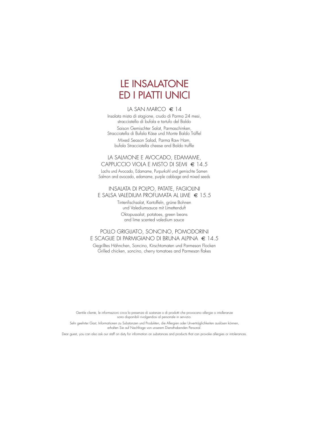# LE INSALATONE ED I PIATTI UNICI

## LA SAN MARCO  $\in$  14

Insalata mista di stagione, crudo di Parma 24 mesi, stracciatella di bufala e tartufo del Baldo Saison Gemischter Salat, Parmaschinken, Stracciatella di Bufala Käse und Monte Baldo Trüffel Mixed Season Salad, Parma Raw Ham, bufala Stracciatella cheese and Baldo truffle

### LA SALMONE E AVOCADO, EDAMAME, CAPPUCCIO VIOLA E MISTO DI SEMI € 14.5

Lachs und Avocado, Edamame, Purpurkohl und gemischte Samen Salmon and avocado, edamame, purple cabbage and mixed seeds

# INSALATA DI POLPO, PATATE, FAGIOLINI E SALSA VALEDIUM PROFUMATA AL LIME € 15.5

Tintenfischsalat, Kartoffeln, grüne Bohnen und Valediumsauce mit Limettenduft Oktopussalat, potatoes, green beans and lime scented valedium sauce

# POLLO GRIGLIATO, SONCINO, POMODORINI E SCAGLIE DI PARMIGIANO DI BRUNA ALPINA € 14.5

Gegrilltes Hähnchen, Soncino, Kirschtomaten und Parmesan Flocken Grilled chicken, soncino, cherry tomatoes and Parmesan flakes

Gentile cliente, le informazioni circa la presenza di sostanze o di prodotti che provocano allergie o intolleranze sono disponibili rivolgendosi al personale in servizio.

Sehr geehrter Gast, Informationen zu Substanzen und Produkten, die Allergien oder Unverträglichkeiten auslösen können, erhalten Sie auf Nachfrage von unserem Diensthabenden Personal.

Dear guest, you can also ask our staff on duty for information on substances and products that can provoke allergies or intolerances.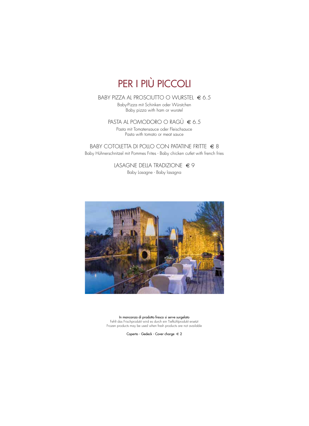# PER I PIÙ PICCOLI

BABY PIZZA AL PROSCIUTTO O WURSTEL € 6.5 Baby-Pizza mit Schinken oder Würstchen

Baby pizza with ham or wurstel

# PASTA AL POMODORO O RAGÙ  $\in 6.5$

Pasta mit Tomatensauce oder Fleischsauce Pasta with tomato or meat sauce

# BABY COTOLETTA DI POLLO CON PATATINE FRITTE  $\in$  8 Baby Hühnerschnitzel mit Pommes Frites - Baby chicken cutlet with french fries

LASAGNE DELLA TRADIZIONE  $\in$  9 Baby Lasagne - Baby lasagna



In mancanza di prodotto fresco si serve surgelato Fehlt das Frischprodukt wird es durch ein Tiefkühlprodukt ersetzt Frozen products may be used when fresh products are not available

Coperto - Gedeck - Cover charge € 2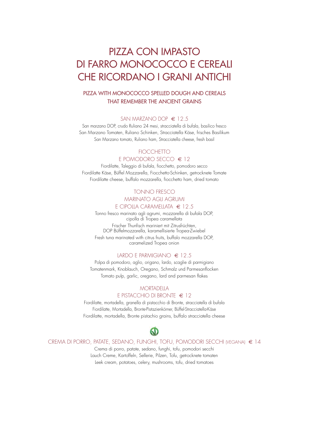# PIZZA CON IMPASTO DI FARRO MONOCOCCO E CEREALI CHE RICORDANO I GRANI ANTICHI

# PIZZA WITH MONOCOCCO SPELLED DOUGH AND CEREALS THAT REMEMBER THE ANCIENT GRAINS

#### SAN MARZANO DOP € 12.5

San marzano DOP, crudo Ruliano 24 mesi, stracciatella di bufala, basilico fresco San Marzano Tomaten, Ruliano Schinken, Stracciatella Käse, frisches Basilikum San Marzano tomato, Ruliano ham, Stracciatella cheese, fresh basil

# **FIOCCHETTO** E POMODORO SECCO € 12

Fiordilatte, Taleggio di bufala, fiocchetto, pomodoro secco Fiordilatte Käse, Büffel Mozzarella, Fiocchetto-Schinken, getrocknete Tomate Fiordilatte cheese, buffalo mozzarella, fiocchetto ham, dried tomato

# TONNO FRESCO MARINATO AGLI AGRUMI

# E CIPOLLA CARAMELLATA € 12.5

Tonno fresco marinato agli agrumi, mozzarella di bufala DOP, cipolla di Tropea caramellata Frischer Thunfisch mariniert mit Zitrusfrüchten, DOP Büffelmozzarella, karamellisierte Tropea-Zwiebel Fresh tuna marinated with citrus fruits, buffalo mozzarella DOP, caramelized Tropea onion

# LARDO E PARMIGIANO € 12.5

Polpa di pomodoro, aglio, origano, lardo, scaglie di parmigiano Tomatenmark, Knoblauch, Oregano, Schmalz und Parmesanflocken Tomato pulp, garlic, oregano, lard and parmesan flakes

# **MORTADELLA** E PISTACCHIO DI BRONTE € 12

Fiordilatte, mortadella, granella di pistacchio di Bronte, stracciatella di bufala Fiordilatte, Mortadella, Bronte-Pistazienkörner, Büffel-Stracciatella-Käse Fiordilatte, mortadella, Bronte pistachio grains, buffalo stracciatella cheese

# Q)

CREMA DI PORRO, PATATE, SEDANO, FUNGHI, TOFU, POMODORI SECCHI (VEGANA) € 14

Crema di porro, patate, sedano, funghi, tofu, pomodori secchi Lauch Creme, Kartoffeln, Sellerie, Pilzen, Tofu, getrocknete tomaten Leek cream, potatoes, celery, mushrooms, tofu, dried tomatoes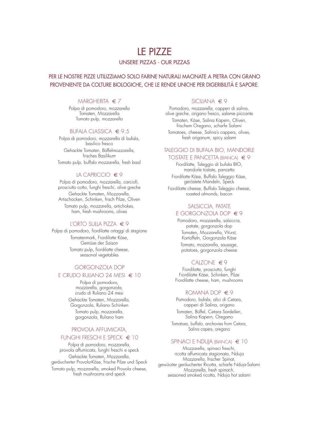# LE PIZZE

# UNSERE PIZZAS - OUR PIZZAS

# PER LE NOSTRE PIZZE UTILIZZIAMO SOLO FARINE NATURALI MACINATE A PIETRA CON GRANO PROVENIENTE DA COLTURE BIOLOGICHE, CHE LE RENDE UNICHE PER DIGERIBILITÀ E SAPORE.

#### $MARGHERITA \in 7$

Polpa di pomodoro, mozzarella Tomaten, Mozzarella Tomato pulp, mozzarella

### BUFALA CLASSICA € 9.5

Polpa di pomodoro, mozzarella di bufala, basilico fresco Gehackte Tomaten, Büffelmozzarella, frisches Basilikum Tomato pulp, buffalo mozzarella, fresh basil

#### LA CAPRICCIO € 9

Polpa di pomodoro, mozzarella, carciofi, prosciutto cotto, funghi freschi, olive greche Gehackte Tomaten, Mozzarella, Artischocken, Schinken, frisch Pilze, Oliven Tomato pulp, mozzarella, artichokes, ham, fresh mushrooms, olives

### L'ORTO SULLA PIZZA  $\in$  9

Polpa di pomodoro, fiordilatte ortaggi di stagione Tomatenmark, Fiordilatte Käse, Gemüse der Saison Tomato pulp, fiordilatte cheese, seasonal vegetables

# GORGONZOLA DOP

#### E CRUDO RULIANO 24 MESI  $\epsilon$  10

Polpa di pomodoro, mozzarella, gorgonzola, crudo di Ruliano 24 mesi Gehackte Tomaten, Mozzarella, Gorgonzola, Ruliano Schinken Tomato pulp, mozzarella, gorgonzola, Ruliano ham

### PROVOLA AFFUMICATA,

#### FUNGHI FRESCHI E SPECK  $\in$  10

Polpa di pomodoro, mozzarella, provola affumicata, funghi freschi e speck Gehackte Tomaten, Mozzarella, geräucherter Provola-Käse, frische Pilze und Speck

Tomato pulp, mozzarella, smoked Provola cheese, fresh mushrooms and speck

#### SICILIANA € 9

Pomodoro, mozzarella, capperi di salina, olive greche, origano fresco, salame piccante Tomaten, Käse, Salina Kapern, Oliven,

frischem Oregano, scharfe Salami

Tomatoes, cheese, Salina's cappers, olives, fresh origanum, spicy salami

# TALEGGIO DI BUFALA BIO, MANDORLE TOSTATE E PANCETTA (BIANCA) € 9

Fiordilatte, Taleggio di bufala BIO, mandorle tostate, pancetta Fiordilatte Käse, Buffalo Taleggio Käse, geröstete Mandeln, Speck Fiordilatte cheese, Buffalo Taleggio cheese, roasted almonds, bacon

### SALSICCIA, PATATE E GORGONZOLA DOP  $\in$  9

Pomodoro, mozzarella, salsiccia, patate, gorgonzola dop Tomaten, Mozzarella, Wurst, Kartoffeln, Gorgonzola Käse

Tomato, mozzarella, sausage, potatoes, gorgonzola cheese

#### CALZONE € 9

Fiordilatte, prosciutto, funghi Fiordilatte Käse, Schinken, Pilze Fiordilatte cheese, ham, mushrooms

### ROMANA DOP € 9

Pomodoro, bufala, alici di Cetara, capperi di Salina, origano Tomaten, Büffel, Cetara Sardellen, Salina Kapern, Oregano Tomatoes, buffalo, anchovies from Cetara, Salina capers, oregano

#### SPINACI E NDUJA (BIANCA) € 10

Mozzarella, spinaci freschi, ricotta affumicata stagionata, Nduja Mozzarella, frischer Spinat, gewürzter geräucherter Ricotta, scharfe Nduja-Salami Mozzarella, fresh spinach, seasoned smoked ricotta, Nduja hot salami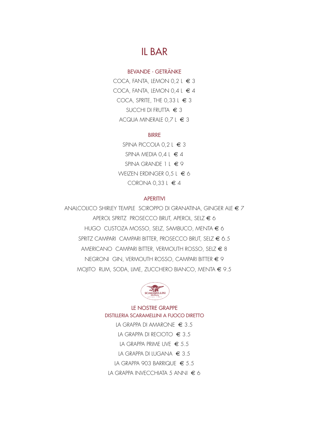# IL BAR

# BEVANDE - GETRÄNKE

COCA, FANTA, LEMON 0,2 L  $\in$ COCA, FANTA, LEMON 0,4 L  $\in$ COCA, SPRITE, THE 0,33 L  $\in$ SUCCHI DI FRUTTA € 3 ACQUA MINERALE  $0,7$  L  $\in$ 

### BIRRE

SPINA PICCOLA  $0,2$  L  $\in$ SPINA MEDIA 0,4 L  $\in$ SPINA GRANDE 1 L € 9 WEIZEN ERDINGER 0,5 L  $\in$ CORONA 0,33 L  $\in$ 

### **APERITIVI**

ANALCOLICO SHIRLEY TEMPLE SCIROPPO DI GRANATINA, GINGER ALE  $\in$  7 APEROL SPRITZ PROSECCO BRUT, APEROL, SELZ € 6 HUGO CUSTOZA MOSSO, SELZ, SAMBUCO, MENTA € 6 SPRITZ CAMPARI CAMPARI BITTER, PROSECCO BRUT, SELZ € 6.5 AMERICANO CAMPARI BITTER, VERMOUTH ROSSO, SELZ  $\in$  8 NEGRONI GIN, VERMOUTH ROSSO, CAMPARI BITTER € 9 MOJITO RUM, SODA, LIME, ZUCCHERO BIANCO, MENTA € 9.5



# LE NOSTRE GRAPPE DISTILLERIA SCARAMELLINI A FUOCO DIRETTO

LA GRAPPA DI AMARONE € 3.5 LA GRAPPA DI RECIOTO  $\epsilon$  3.5 LA GRAPPA PRIME UVE  $\epsilon$  5.5 LA GRAPPA DI LUGANA  $\in$  3.5 LA GRAPPA 903 BARRIQUE  $\in$  5.5 LA GRAPPA INVECCHIATA 5 ANNI  $\epsilon$  6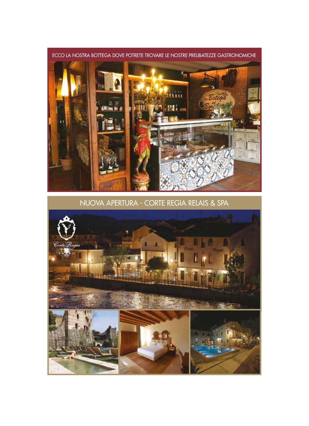

NUOVA APERTURA - CORTE REGIA RELAIS & SPA